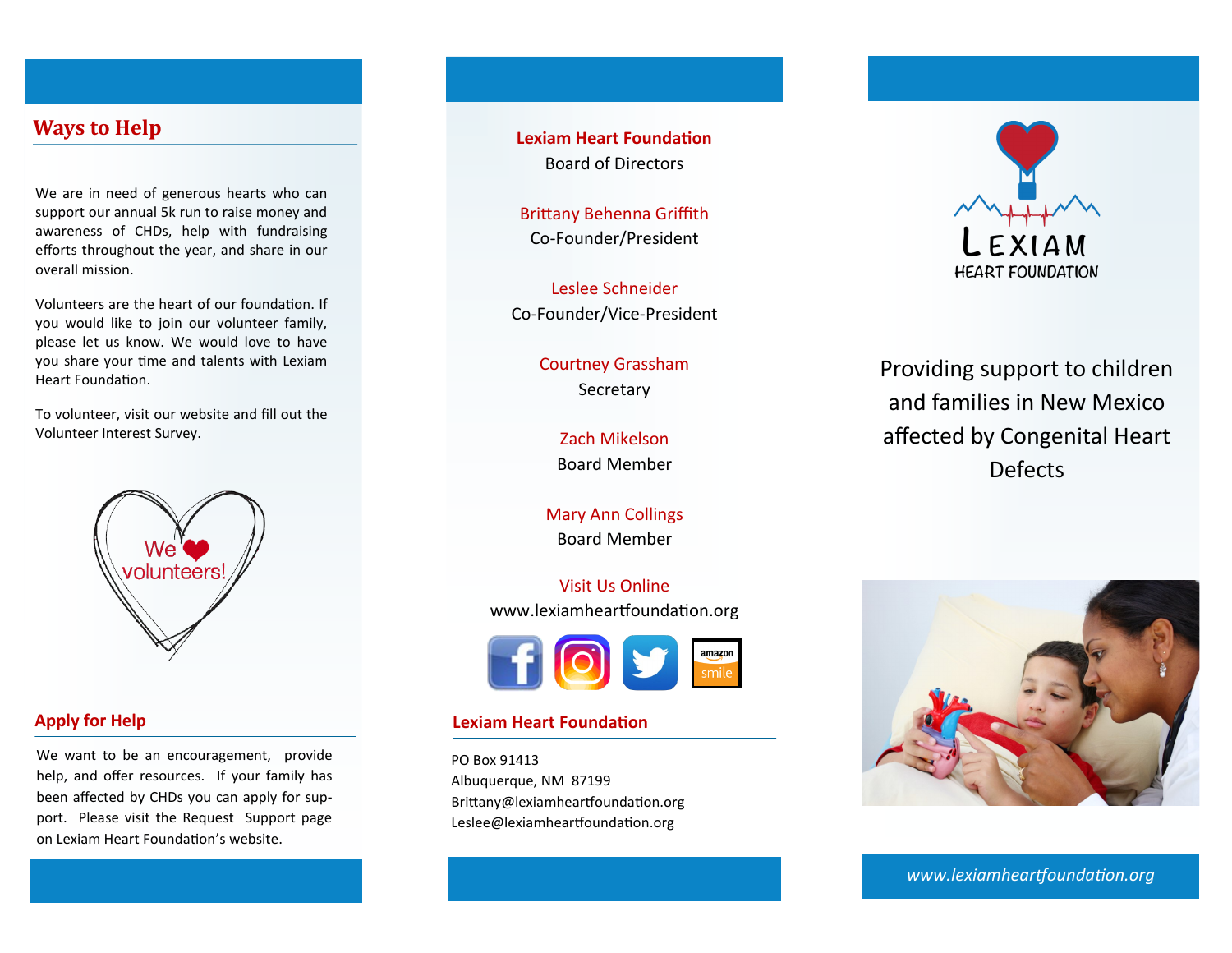# **Ways to Help**

We are in need of generous hearts who can support our annual 5k run to raise money and awareness of CHDs, help with fundraising efforts throughout the year, and share in our overall mission.

Volunteers are the heart of our foundation. If you would like to join our volunteer family, please let us know. We would love to have you share your time and talents with Lexiam Heart Foundation.

To volunteer, visit our website and fill out the Volunteer Interest Survey.



## **Apply for Help**

We want to be an encouragement, provide help, and offer resources. If your family has been affected by CHDs you can apply for support. Please visit the Request Support page on Lexiam Heart Foundation's website.

**Lexiam Heart Foundation** Board of Directors

Brittany Behenna Griffith Co-Founder/President

Leslee Schneider Co-Founder/Vice-President

> Courtney Grassham Secretary

> > Zach Mikelson Board Member

Mary Ann Collings Board Member

Visit Us Online www.lexiamheartfoundation.org



### **Lexiam Heart Foundation**

PO Box 91413 Albuquerque, NM 87199 Brittany@lexiamheartfoundation.org Leslee@lexiamheartfoundation.org



Providing support to children and families in New Mexico affected by Congenital Heart Defects



*www.lexiamheartfoundation.org www.lexiamheartfoundation.org*